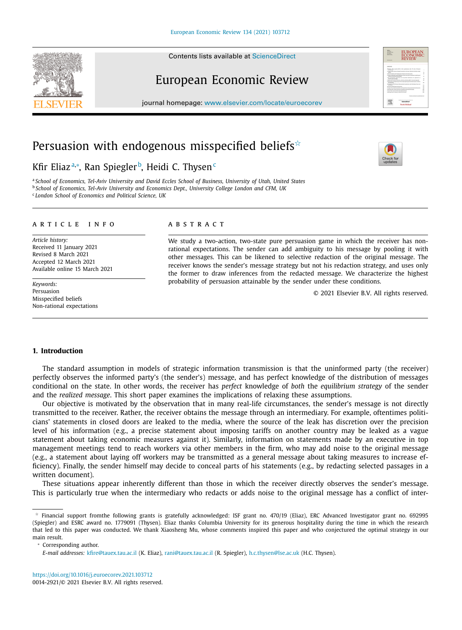Contents lists available at [ScienceDirect](http://www.ScienceDirect.com)

# European Economic Review

journal homepage: [www.elsevier.com/locate/euroecorev](http://www.elsevier.com/locate/euroecorev)

## Persuasion with endogenous misspecified beliefs $\dot{\tilde{ }}$

### Kfir Eliazª\*, Ran Spiegler<sup>b</sup>, Heidi C. Thysen<sup>c</sup>

a School of Economics, Tel-Aviv University and David Eccles School of Business, University of Utah, United States <sup>b</sup> *School of Economics, Tel-Aviv University and Economics Dept., University College London and CFM, UK* <sup>c</sup> *London School of Economics and Political Science, UK*

#### a r t i c l e i n f o

*Article history:* Received 11 January 2021 Revised 8 March 2021 Accepted 12 March 2021 Available online 15 March 2021

*Keywords:* Persuasion Misspecified beliefs Non-rational expectations

#### a b s t r a c t

We study a two-action, two-state pure persuasion game in which the receiver has nonrational expectations. The sender can add ambiguity to his message by pooling it with other messages. This can be likened to selective redaction of the original message. The receiver knows the sender's message strategy but not his redaction strategy, and uses only the former to draw inferences from the redacted message. We characterize the highest probability of persuasion attainable by the sender under these conditions.

© 2021 Elsevier B.V. All rights reserved.

#### **1. Introduction**

The standard assumption in models of strategic information transmission is that the uninformed party (the receiver) perfectly observes the informed party's (the sender's) message, and has perfect knowledge of the distribution of messages conditional on the state. In other words, the receiver has *perfect* knowledge of *both* the *equilibrium strategy* of the sender and the *realized message*. This short paper examines the implications of relaxing these assumptions.

Our objective is motivated by the observation that in many real-life circumstances, the sender's message is not directly transmitted to the receiver. Rather, the receiver obtains the message through an intermediary. For example, oftentimes politicians' statements in closed doors are leaked to the media, where the source of the leak has discretion over the precision level of his information (e.g., a precise statement about imposing tariffs on another country may be leaked as a vague statement about taking economic measures against it). Similarly, information on statements made by an executive in top management meetings tend to reach workers via other members in the firm, who may add noise to the original message (e.g., a statement about laying off workers may be transmitted as a general message about taking measures to increase efficiency). Finally, the sender himself may decide to conceal parts of his statements (e.g., by redacting selected passages in a written document).

These situations appear inherently different than those in which the receiver directly observes the sender's message. This is particularly true when the intermediary who redacts or adds noise to the original message has a conflict of inter-







 $^{\star}$  Financial support fromthe following grants is gratefully acknowledged: ISF grant no. 470/19 (Eliaz), ERC Advanced Investigator grant no. 692995 (Spiegler) and ESRC award no. 1779091 (Thysen). Eliaz thanks Columbia University for its generous hospitality during the time in which the research that led to this paper was conducted. We thank Xiaosheng Mu, whose comments inspired this paper and who conjectured the optimal strategy in our main result.

*E-mail addresses:* [kfire@tauex.tau.ac.il](mailto:kfire@tauex.tau.ac.il) (K. Eliaz), [rani@tauex.tau.ac.il](mailto:rani@tauex.tau.ac.il) (R. Spiegler), [h.c.thysen@lse.ac.uk](mailto:h.c.thysen@lse.ac.uk) (H.C. Thysen).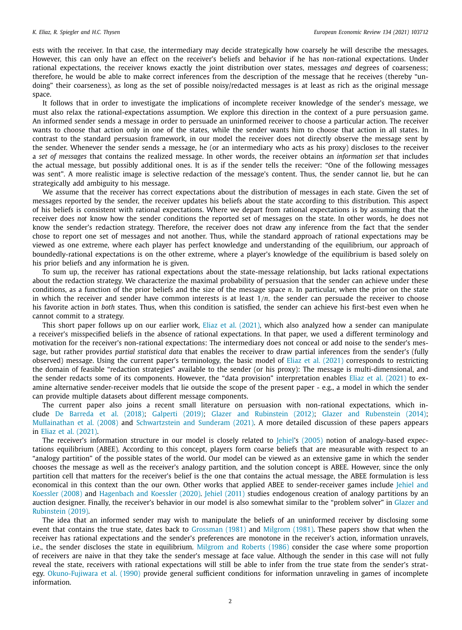ests with the receiver. In that case, the intermediary may decide strategically how coarsely he will describe the messages. However, this can only have an effect on the receiver's beliefs and behavior if he has *non*-rational expectations. Under rational expectations, the receiver knows exactly the joint distribution over states, messages *and* degrees of coarseness; therefore, he would be able to make correct inferences from the description of the message that he receives (thereby "undoing" their coarseness), as long as the set of possible noisy/redacted messages is at least as rich as the original message space.

It follows that in order to investigate the implications of incomplete receiver knowledge of the sender's message, we must also relax the rational-expectations assumption. We explore this direction in the context of a pure persuasion game. An informed sender sends a message in order to persuade an uninformed receiver to choose a particular action. The receiver wants to choose that action only in one of the states, while the sender wants him to choose that action in all states. In contrast to the standard persuasion framework, in our model the receiver does not directly observe the message sent by the sender. Whenever the sender sends a message, he (or an intermediary who acts as his proxy) discloses to the receiver a *set of messages* that contains the realized message. In other words, the receiver obtains an *information set* that includes the actual message, but possibly additional ones. It is as if the sender tells the receiver: "One of the following messages was sent". A more realistic image is selective redaction of the message's content. Thus, the sender cannot lie, but he can strategically add ambiguity to his message.

We assume that the receiver has correct expectations about the distribution of messages in each state. Given the set of messages reported by the sender, the receiver updates his beliefs about the state according to this distribution. This aspect of his beliefs is consistent with rational expectations. Where we depart from rational expectations is by assuming that the receiver does *not* know how the sender conditions the reported set of messages on the state. In other words, he does not know the sender's redaction strategy. Therefore, the receiver does not draw any inference from the fact that the sender chose to report one set of messages and not another. Thus, while the standard approach of rational expectations may be viewed as one extreme, where each player has perfect knowledge and understanding of the equilibrium, our approach of boundedly-rational expectations is on the other extreme, where a player's knowledge of the equilibrium is based solely on his prior beliefs and any information he is given.

To sum up, the receiver has rational expectations about the state-message relationship, but lacks rational expectations about the redaction strategy. We characterize the maximal probability of persuasion that the sender can achieve under these conditions, as a function of the prior beliefs and the size of the message space *n*. In particular, when the prior on the state in which the receiver and sender have common interests is at least  $1/n$ , the sender can persuade the receiver to choose his favorite action in *both* states. Thus, when this condition is satisfied, the sender can achieve his first-best even when he cannot commit to a strategy.

This short paper follows up on our earlier work, Eliaz et al. [\(2021\),](#page-4-0) which also analyzed how a sender can manipulate a receiver's misspecified beliefs in the absence of rational expectations. In that paper, we used a different terminology and motivation for the receiver's non-rational expectations: The intermediary does not conceal or add noise to the sender's message, but rather provides *partial statistical data* that enables the receiver to draw partial inferences from the sender's (fully observed) message. Using the current paper's terminology, the basic model of Eliaz et al. [\(2021\)](#page-4-0) corresponds to restricting the domain of feasible "redaction strategies" available to the sender (or his proxy): The message is multi-dimensional, and the sender redacts some of its components. However, the "data provision" interpretation enables Eliaz et al. [\(2021\)](#page-4-0) to examine alternative sender-receiver models that lie outside the scope of the present paper - e.g., a model in which the sender can provide multiple datasets about different message components.

The current paper also joins a recent small literature on persuasion with non-rational expectations, which include De [Barreda](#page-4-0) et al. (2018); [Galperti](#page-4-0) (2019); Glazer and [Rubinstein](#page-4-0) (2012); Glazer and [Rubenstein](#page-4-0) (2014); [Mullainathan](#page-5-0) et al. (2008) and [Schwartzstein](#page-5-0) and Sunderam (2021). A more detailed discussion of these papers appears in Eliaz et al. [\(2021\).](#page-4-0)

The receiver's information structure in our model is closely related to [ehiel's [\(2005\)](#page-5-0) notion of analogy-based expectations equilibrium (ABEE). According to this concept, players form coarse beliefs that are measurable with respect to an "analogy partition" of the possible states of the world. Our model can be viewed as an extensive game in which the sender chooses the message as well as the receiver's analogy partition, and the solution concept is ABEE. However, since the only partition cell that matters for the receiver's belief is the one that contains the actual message, the ABEE formulation is less economical in this context than the our own. Other works that applied ABEE to [sender-receiver](#page-5-0) games include Jehiel and Koessler (2008) and [Hagenbach](#page-5-0) and Koessler (2020). Jehiel [\(2011\)](#page-5-0) studies endogenous creation of analogy partitions by an auction designer. Finally, the receiver's behavior in our model is also somewhat similar to the "problem solver" in Glazer and [Rubinstein](#page-4-0) (2019).

The idea that an informed sender may wish to manipulate the beliefs of an uninformed receiver by disclosing some event that contains the true state, dates back to [Grossman](#page-5-0) (1981) and [Milgrom](#page-5-0) (1981). These papers show that when the receiver has rational expectations and the sender's preferences are monotone in the receiver's action, information unravels, i.e., the sender discloses the state in equilibrium. [Milgrom](#page-5-0) and Roberts (1986) consider the case where some proportion of receivers are naive in that they take the sender's message at face value. Although the sender in this case will not fully reveal the state, receivers with rational expectations will still be able to infer from the true state from the sender's strategy. [Okuno-Fujiwara](#page-5-0) et al. (1990) provide general sufficient conditions for information unraveling in games of incomplete information.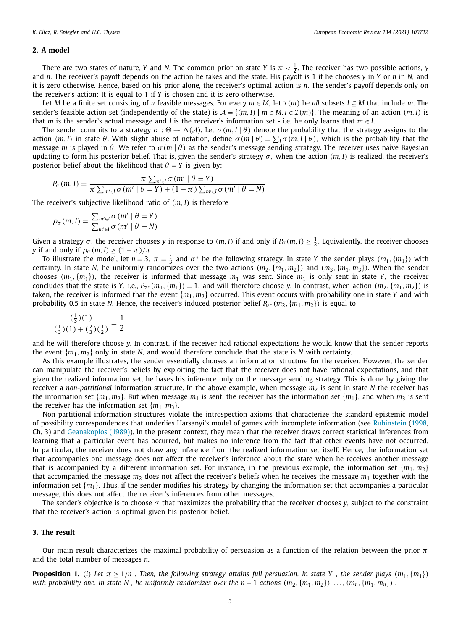#### <span id="page-2-0"></span>**2. A model**

There are two states of nature, *Y* and *N*. The common prior on state *Y* is  $\pi < \frac{1}{2}$ . The receiver has two possible actions, *y* and *n*. The receiver's payoff depends on the action he takes and the state. His payoff is 1 if he chooses *y* in *Y* or *n* in *N*, and it is zero otherwise. Hence, based on his prior alone, the receiver's optimal action is *n*. The sender's payoff depends only on the receiver's action: It is equal to 1 if *Y* is chosen and it is zero otherwise.

Let *M* be a finite set consisting of *n* feasible messages. For every  $m \in M$ , let  $\mathcal{I}(m)$  be all subsets  $I \subseteq M$  that include *m*. The sender's feasible action set (independently of the state) is  $A = \{(m, I) | m \in M, I \in \mathcal{I}(m)\}$ . The meaning of an action  $(m, I)$  is that *m* is the sender's actual message and *I* is the receiver's information set - i.e. he only learns that  $m \in I$ .

The sender commits to a strategy  $\sigma : \Theta \to \Delta(\mathcal{A})$ . Let  $\sigma(m, I | \theta)$  denote the probability that the strategy assigns to the action  $(m, I)$  in state  $\theta$ . With slight abuse of notation, define  $\sigma(m | \theta) = \sum_{I} \sigma(m, I | \theta)$ , which is the probability that the message *m* is played in  $\theta$ . We refer to  $\sigma(m|\theta)$  as the sender's message sending strategy. The receiver uses naive Bayesian updating to form his posterior belief. That is, given the sender's strategy  $\sigma$ , when the action  $(m, I)$  is realized, the receiver's posterior belief about the likelihood that  $\theta = Y$  is given by:

$$
P_{\sigma}(m, I) = \frac{\pi \sum_{m' \in I} \sigma(m' \mid \theta = Y)}{\pi \sum_{m' \in I} \sigma(m' \mid \theta = Y) + (1 - \pi) \sum_{m' \in I} \sigma(m' \mid \theta = N)}
$$

The receiver's subjective likelihood ratio of (*m*, *I*) is therefore

$$
\rho_{\sigma}(m, I) = \frac{\sum_{m' \in I} \sigma(m' \mid \theta = Y)}{\sum_{m' \in I} \sigma(m' \mid \theta = N)}
$$

Given a strategy  $\sigma$ , the receiver chooses *y* in response to  $(m, I)$  if and only if  $P_{\sigma}(m, I) \geq \frac{1}{2}$ . Equivalently, the receiver chooses *y* if and only if  $\rho_{\sigma}(m, I) \ge (1 - \pi)/\pi$ .

To illustrate the model, let  $n = 3$ ,  $\pi = \frac{1}{3}$  and  $\sigma^*$  be the following strategy. In state *Y* the sender plays  $(m_1, \{m_1\})$  with certainty. In state *N*, he uniformly randomizes over the two actions  $(m_2, \{m_1, m_2\})$  and  $(m_3, \{m_1, m_3\})$ . When the sender chooses  $(m_1, \{m_1\})$ , the receiver is informed that message  $m_1$  was sent. Since  $m_1$  is only sent in state *Y*, the receiver concludes that the state is *Y*, i.e.,  $P_{\sigma^*}(m_1, \{m_1\}) = 1$ , and will therefore choose *y*. In contrast, when action  $(m_2, \{m_1, m_2\})$  is taken, the receiver is informed that the event  $\{m_1, m_2\}$  occurred. This event occurs with probability one in state *Y* and with probability 0.5 in state *N*. Hence, the receiver's induced posterior belief  $P_{\sigma^*}(m_2, \{m_1, m_2\})$  is equal to

$$
\frac{\left(\frac{1}{3}\right)(1)}{\left(\frac{1}{3}\right)(1) + \left(\frac{2}{3}\right)\left(\frac{1}{2}\right)} = \frac{1}{2}
$$

and he will therefore choose *y*. In contrast, if the receiver had rational expectations he would know that the sender reports the event  $\{m_1, m_2\}$  only in state *N*, and would therefore conclude that the state is *N* with certainty.

As this example illustrates, the sender essentially chooses an information structure for the receiver. However, the sender can manipulate the receiver's beliefs by exploiting the fact that the receiver does not have rational expectations, and that given the realized information set, he bases his inference only on the message sending strategy. This is done by giving the receiver a *non-partitional* information structure. In the above example, when message  $m_2$  is sent in state *N* the receiver has the information set  $\{m_1, m_2\}$ . But when message  $m_1$  is sent, the receiver has the information set  $\{m_1\}$ , and when  $m_3$  is sent the receiver has the information set  ${m_1, m_3}$ .

Non-partitional information structures violate the introspection axioms that characterize the standard epistemic model of possibility correspondences that underlies Harsanyi's model of games with incomplete information (see [Rubinstein](#page-5-0) [\(1998,](#page-5-0) Ch. 3) and [Geanakoplos](#page-4-0) (1989)). In the present context, they mean that the receiver draws correct statistical inferences from learning that a particular event has occurred, but makes no inference from the fact that other events have not occurred. In particular, the receiver does not draw any inference from the realized information set itself. Hence, the information set that accompanies one message does not affect the receiver's inference about the state when he receives another message that is accompanied by a different information set. For instance, in the previous example, the information set  $\{m_1, m_2\}$ that accompanied the message  $m<sub>2</sub>$  does not affect the receiver's beliefs when he receives the message  $m<sub>1</sub>$  together with the information set  ${m_1}$ . Thus, if the sender modifies his strategy by changing the information set that accompanies a particular message, this does not affect the receiver's inferences from other messages.

The sender's objective is to choose  $\sigma$  that maximizes the probability that the receiver chooses *y*, subject to the constraint that the receiver's action is optimal given his posterior belief.

#### **3. The result**

Our main result characterizes the maximal probability of persuasion as a function of the relation between the prior  $\pi$ and the total number of messages *n*.

**Proposition 1.** (i) Let  $\pi \ge 1/n$ . Then, the following strategy attains full persuasion. In state Y, the sender plays  $(m_1, \{m_1\})$ with probability one. In state N, he uniformly randomizes over the  $n-1$  actions  $(m_2, \{m_1, m_2\}), \ldots, (m_n, \{m_1, m_n\})$ .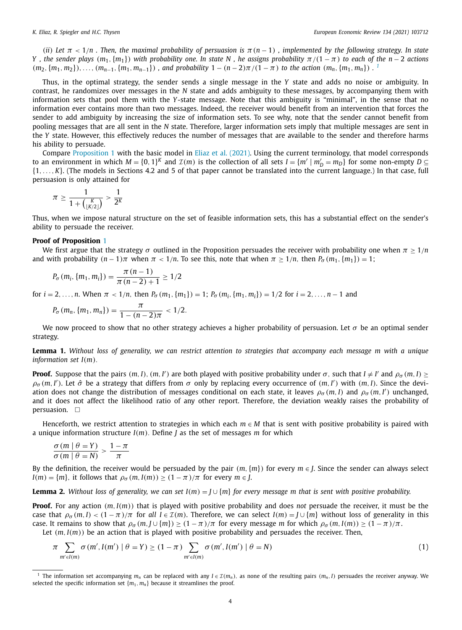<span id="page-3-0"></span>(ii) Let  $\pi$  < 1/n. Then, the maximal probability of persuasion is  $\pi$ (n - 1), implemented by the following strategy. In state Y, the sender plays  $(m_1, \{m_1\})$  with probability one. In state N, he assigns probability  $\pi/(1-\pi)$  to each of the n - 2 actions  $(m_2, \{m_1, m_2\}), \ldots, (m_{n-1}, \{m_1, m_{n-1}\})$ , and probability  $1 - (n-2)\pi/(1-\pi)$  to the action  $(m_n, \{m_1, m_n\})$ .

Thus, in the optimal strategy, the sender sends a single message in the *Y* state and adds no noise or ambiguity. In contrast, he randomizes over messages in the *N* state and adds ambiguity to these messages, by accompanying them with information sets that pool them with the *Y*-state message. Note that this ambiguity is "minimal", in the sense that no information ever contains more than two messages. Indeed, the receiver would benefit from an intervention that forces the sender to add ambiguity by increasing the size of information sets. To see why, note that the sender cannot benefit from pooling messages that are all sent in the *N* state. Therefore, larger information sets imply that multiple messages are sent in the *Y* state. However, this effectively reduces the number of messages that are available to the sender and therefore harms his ability to persuade.

Compare [Proposition](#page-2-0) 1 with the basic model in Eliaz et al. [\(2021\).](#page-4-0) Using the current terminology, that model corresponds to an environment in which  $M = \{0, 1\}^K$  and  $\mathcal{I}(m)$  is the collection of all sets  $I = \{m' \mid m_D' = m_D\}$  for some non-empty  $D \subseteq$ {1, . . ., *K*}. (The models in Sections 4.2 and 5 of that paper cannot be translated into the current language.) In that case, full persuasion is only attained for

$$
\pi \ge \frac{1}{1 + {K \choose \lfloor K/2 \rfloor}} > \frac{1}{2^K}
$$

Thus, when we impose natural structure on the set of feasible information sets, this has a substantial effect on the sender's ability to persuade the receiver.

#### **Proof of Proposition** [1](#page-2-0)

We first argue that the strategy  $\sigma$  outlined in the Proposition persuades the receiver with probability one when  $\pi > 1/n$ and with probability  $(n-1)\pi$  when  $\pi < 1/n$ . To see this, note that when  $\pi > 1/n$ , then  $P_{\sigma}(m_1, \{m_1\}) = 1$ ;

$$
P_{\sigma}(m_i, \{m_1, m_i\}) = \frac{\pi (n-1)}{\pi (n-2)+1} \ge 1/2
$$

for  $i = 2, ..., n$ . When  $\pi < 1/n$ , then  $P_{\sigma}(m_1, \{m_1\}) = 1$ ;  $P_{\sigma}(m_i, \{m_1, m_i\}) = 1/2$  for  $i = 2, ..., n - 1$  and

$$
P_{\sigma}(m_n, \{m_1, m_n\}) = \frac{\pi}{1 - (n-2)\pi} < \frac{1}{2}.
$$

We now proceed to show that no other strategy achieves a higher probability of persuasion. Let  $\sigma$  be an optimal sender strategy.

**Lemma 1.** Without loss of generality, we can restrict attention to strategies that accompany each message m with a unique *information set I*(*m*).

**Proof.** Suppose that the pairs  $(m, I)$ ,  $(m, I')$  are both played with positive probability under  $\sigma$ , such that  $I \neq I'$  and  $\rho_{\sigma}(m, I) \geq$  $\rho_{\sigma}(m, I')$ . Let  $\hat{\sigma}$  be a strategy that differs from  $\sigma$  only by replacing every occurrence of  $(m, I')$  with  $(m, I)$ . Since the deviation does not change the distribution of messages conditional on each state, it leaves  $\rho_{\sigma}(m, I)$  and  $\rho_{\sigma}(m, I')$  unchanged, and it does not affect the likelihood ratio of any other report. Therefore, the deviation weakly raises the probability of persuasion.  $\Box$ 

Henceforth, we restrict attention to strategies in which each *m* ∈ *M* that is sent with positive probability is paired with a unique information structure *I*(*m*). Define *J* as the set of messages *m* for which

$$
\frac{\sigma(m \mid \theta = Y)}{\sigma(m \mid \theta = N)} > \frac{1 - \pi}{\pi}
$$

By the definition, the receiver would be persuaded by the pair  $(m, \{m\})$  for every  $m \in I$ . Since the sender can always select  $I(m) = \{m\}$ , it follows that  $\rho_{\sigma}(m, I(m)) \geq (1 - \pi)/\pi$  for every  $m \in J$ .

**Lemma 2.** Without loss of generality, we can set  $I(m) = I \cup \{m\}$  for every message m that is sent with positive probability.

**Proof.** For any action (*m*, *I*(*m*)) that is played with positive probability and does *not* persuade the receiver, it must be the case that  $\rho_{\sigma}(m, I) < (1 - \pi)/\pi$  for all  $I \in \mathcal{I}(m)$ . Therefore, we can select  $I(m) = I \cup \{m\}$  without loss of generality in this case. It remains to show that  $\rho_{\sigma}(m, J \cup \{m\}) \ge (1 - \pi)/\pi$  for every message *m* for which  $\rho_{\sigma}(m, I(m)) \ge (1 - \pi)/\pi$ .

Let  $(m, I(m))$  be an action that is played with positive probability and persuades the receiver. Then,

$$
\pi \sum_{m' \in I(m)} \sigma(m', I(m') \mid \theta = Y) \ge (1 - \pi) \sum_{m' \in I(m)} \sigma(m', I(m') \mid \theta = N)
$$
\n(1)

<sup>&</sup>lt;sup>1</sup> The information set accompanying  $m_n$  can be replaced with any  $I \in \mathcal{I}(m_n)$ , as none of the resulting pairs  $(m_n, I)$  persuades the receiver anyway. We selected the specific information set  ${m_1, m_n}$  because it streamlines the proof.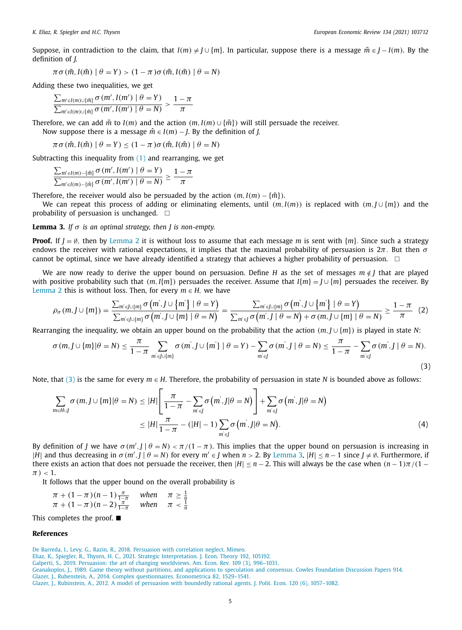<span id="page-4-0"></span>Suppose, in contradiction to the claim, that  $I(m) \neq J \cup \{m\}$ . In particular, suppose there is a message  $\tilde{m} \in J - I(m)$ . By the definition of *J*,

$$
\pi \sigma(\tilde{m}, I(\tilde{m}) \mid \theta = Y) > (1 - \pi) \sigma(\tilde{m}, I(\tilde{m}) \mid \theta = N)
$$

Adding these two inequalities, we get

$$
\frac{\sum_{m' \in I(m) \cup \{\tilde{m}\}} \sigma\left(m', I(m') \mid \theta = Y\right)}{\sum_{m' \in I(m) \cup \{\tilde{m}\}} \sigma\left(m', I(m') \mid \theta = N\right)} > \frac{1 - \pi}{\pi}
$$

Therefore, we can add  $\tilde{m}$  to *I*(*m*) and the action  $(m, I(m) \cup {\tilde{m}})$  will still persuade the receiver.

Now suppose there is a message  $\hat{m} \in I(m) - J$ . By the definition of *J*,

$$
\pi \sigma(\hat{m}, I(\hat{m}) \mid \theta = Y) \leq (1 - \pi) \sigma(\hat{m}, I(\hat{m}) \mid \theta = N)
$$

Subtracting this inequality from  $(1)$  and rearranging, we get

$$
\frac{\sum_{m' \in I(m) - \{\hat{m}\}} \sigma(m', I(m') \mid \theta = Y)}{\sum_{m' \in I(m) - \{\hat{m}\}} \sigma(m', I(m') \mid \theta = N)} \ge \frac{1 - \pi}{\pi}
$$

Therefore, the receiver would also be persuaded by the action  $(m, I(m) - \{\hat{m}\})$ .

We can repeat this process of adding or eliminating elements, until  $(m, I(m))$  is replaced with  $(m, J \cup \{m\})$  and the probability of persuasion is unchanged.  $\Box$ 

**Lemma 3.** *If*  $\sigma$  *is an optimal strategy, then J is non-empty.* 

**Proof.** If  $J = \emptyset$ , then by [Lemma](#page-3-0) 2 it is without loss to assume that each message *m* is sent with  $\{m\}$ . Since such a strategy endows the receiver with rational expectations, it implies that the maximal probability of persuasion is  $2\pi$ . But then  $\sigma$ cannot be optimal, since we have already identified a strategy that achieves a higher probability of persuasion.  $\;\;\sqsubset\;$ 

We are now ready to derive the upper bound on persuasion. Define *H* as the set of messages  $m \notin J$  that are played with positive probability such that  $(m, I{m})$  persuades the receiver. Assume that  $I{m} = J \cup {m}$  persuades the receiver. By [Lemma](#page-3-0) 2 this is without loss. Then, for every  $m \in H$ , we have

$$
\rho_{\sigma}(m, J \cup \{m\}) = \frac{\sum_{m' \in J \cup \{m\}} \sigma(m', J \cup \{m'\}) \mid \theta = Y)}{\sum_{m' \in J \cup \{m\}} \sigma(m', J \cup \{m\} \mid \theta = N)} = \frac{\sum_{m' \in J \cup \{m\}} \sigma(m', J \cup \{m'\} \mid \theta = Y)}{\sum_{m' \in J} \sigma(m', J \mid \theta = N) + \sigma(m, J \cup \{m\} \mid \theta = N)} \ge \frac{1 - \pi}{\pi} (2)
$$

Rearranging the inequality, we obtain an upper bound on the probability that the action (*m*, *J* ∪ {*m*}) is played in state *N*:

$$
\sigma(m, J \cup \{m\} | \theta = N) \leq \frac{\pi}{1 - \pi} \sum_{m' \in J \cup \{m\}} \sigma(m', J \cup \{m'\} | \theta = Y) - \sum_{m' \in J} \sigma(m', J | \theta = N) \leq \frac{\pi}{1 - \pi} - \sum_{m' \in J} \sigma(m', J | \theta = N).
$$
\n(3)

Note, that (3) is the same for every *m* ∈ *H*. Therefore, the probability of persuasion in state *N* is bounded above as follows:

$$
\sum_{m \in H \cup J} \sigma(m, J \cup \{m\} | \theta = N) \le |H| \left[ \frac{\pi}{1 - \pi} - \sum_{m' \in J} \sigma(m', J | \theta = N) \right] + \sum_{m' \in J} \sigma(m', J | \theta = N)
$$
  

$$
\le |H| \frac{\pi}{1 - \pi} - (|H| - 1) \sum_{m' \in J} \sigma(m', J | \theta = N).
$$
 (4)

By definition of *J* we have  $\sigma(m', J | \theta = N) < \pi/(1 - \pi)$ . This implies that the upper bound on persuasion is increasing in |*H*| and thus decreasing in  $\sigma(m', J \mid \theta = N)$  for every  $m' \in J$  when  $n > 2$ . By Lemma 3,  $|H| \le n - 1$  since  $J \ne \emptyset$ . Furthermore, if there exists an action that does not persuade the receiver, then  $|H| \le n - 2$ . This will always be the case when  $(n - 1)\pi/(1 \pi$ ) < 1.

It follows that the upper bound on the overall probability is

$$
\pi + (1 - \pi)(n - 1) \frac{\pi}{1 - \pi} \quad \text{when} \quad \pi \ge \frac{1}{n} \n\pi + (1 - \pi)(n - 2) \frac{\pi}{1 - \pi} \quad \text{when} \quad \pi < \frac{1}{n}
$$

This completes the proof.  $\blacksquare$ 

#### **References**

De [Barreda,](http://refhub.elsevier.com/S0014-2921(21)00065-9/sbref0001) I., [Levy,](http://refhub.elsevier.com/S0014-2921(21)00065-9/sbref0001) G., [Razin,](http://refhub.elsevier.com/S0014-2921(21)00065-9/sbref0001) R., 2018. Persuasion with [correlation](http://refhub.elsevier.com/S0014-2921(21)00065-9/sbref0001) neglect. Mimeo. [Eliaz,](http://refhub.elsevier.com/S0014-2921(21)00065-9/optFcHbuEwKhu) K., [Spiegler,](http://refhub.elsevier.com/S0014-2921(21)00065-9/optFcHbuEwKhu) R., [Thysen,](http://refhub.elsevier.com/S0014-2921(21)00065-9/optFcHbuEwKhu) H. C., 2021. Strategic [Interpretation.](http://refhub.elsevier.com/S0014-2921(21)00065-9/optFcHbuEwKhu) J. Econ. Theory 192, 105192. [Galperti,](http://refhub.elsevier.com/S0014-2921(21)00065-9/sbref0003) S., 2019. Persuasion: the art of changing [worldviews.](http://refhub.elsevier.com/S0014-2921(21)00065-9/sbref0003) Am. Econ. Rev. 109 (3), 996–1031. [Geanakoplos,](http://refhub.elsevier.com/S0014-2921(21)00065-9/optu3lAJE2C1w) J., 1989. Game theory without partitions, and [applications](http://refhub.elsevier.com/S0014-2921(21)00065-9/optu3lAJE2C1w) to speculation and consensus. Cowles Foundation Discussion Papers 914. [Glazer,](http://refhub.elsevier.com/S0014-2921(21)00065-9/sbref0005) J., [Rubenstein,](http://refhub.elsevier.com/S0014-2921(21)00065-9/sbref0005) A., 2014. Complex [questionnaires.](http://refhub.elsevier.com/S0014-2921(21)00065-9/sbref0005) Econometrica 82, 1529–1541. [Glazer,](http://refhub.elsevier.com/S0014-2921(21)00065-9/sbref0006) J., [Rubinstein,](http://refhub.elsevier.com/S0014-2921(21)00065-9/sbref0006) A., 2012. A model of persuasion with boundedly rational agents. J. Polit. Econ. 120 (6), [1057–1082.](http://refhub.elsevier.com/S0014-2921(21)00065-9/sbref0006)